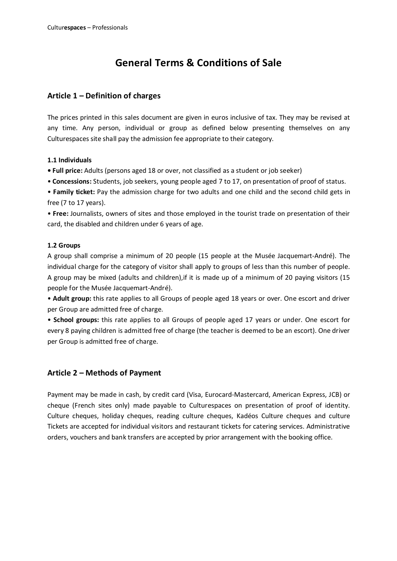# **General Terms & Conditions of Sale**

# **Article 1 – Definition of charges**

The prices printed in this sales document are given in euros inclusive of tax. They may be revised at any time. Any person, individual or group as defined below presenting themselves on any Culturespaces site shall pay the admission fee appropriate to their category.

## **1.1 Individuals**

**• Full price:** Adults (persons aged 18 or over, not classified as a student or job seeker)

• **Concessions:** Students, job seekers, young people aged 7 to 17, on presentation of proof of status.

• **Family ticket:** Pay the admission charge for two adults and one child and the second child gets in free (7 to 17 years).

• **Free:** Journalists, owners of sites and those employed in the tourist trade on presentation of their card, the disabled and children under 6 years of age.

### **1.2 Groups**

A group shall comprise a minimum of 20 people (15 people at the Musée Jacquemart-André). The individual charge for the category of visitor shall apply to groups of less than this number of people. A group may be mixed (adults and children),if it is made up of a minimum of 20 paying visitors (15 people for the Musée Jacquemart-André).

• **Adult group:** this rate applies to all Groups of people aged 18 years or over. One escort and driver per Group are admitted free of charge.

• **School groups:** this rate applies to all Groups of people aged 17 years or under. One escort for every 8 paying children is admitted free of charge (the teacher is deemed to be an escort). One driver per Group is admitted free of charge.

## **Article 2 – Methods of Payment**

Payment may be made in cash, by credit card (Visa, Eurocard-Mastercard, American Express, JCB) or cheque (French sites only) made payable to Culturespaces on presentation of proof of identity. Culture cheques, holiday cheques, reading culture cheques, Kadéos Culture cheques and culture Tickets are accepted for individual visitors and restaurant tickets for catering services. Administrative orders, vouchers and bank transfers are accepted by prior arrangement with the booking office.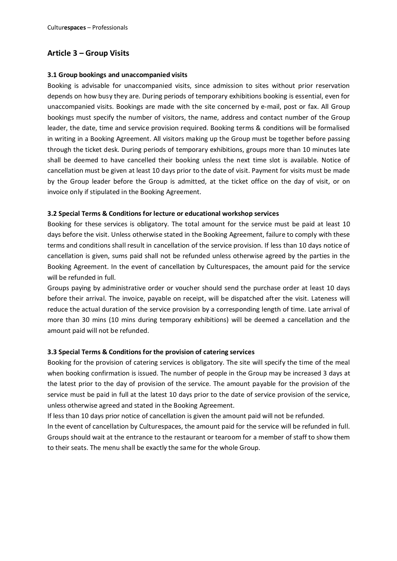## **Article 3 – Group Visits**

#### **3.1 Group bookings and unaccompanied visits**

Booking is advisable for unaccompanied visits, since admission to sites without prior reservation depends on how busy they are. During periods of temporary exhibitions booking is essential, even for unaccompanied visits. Bookings are made with the site concerned by e-mail, post or fax. All Group bookings must specify the number of visitors, the name, address and contact number of the Group leader, the date, time and service provision required. Booking terms & conditions will be formalised in writing in a Booking Agreement. All visitors making up the Group must be together before passing through the ticket desk. During periods of temporary exhibitions, groups more than 10 minutes late shall be deemed to have cancelled their booking unless the next time slot is available. Notice of cancellation must be given at least 10 days prior to the date of visit. Payment for visits must be made by the Group leader before the Group is admitted, at the ticket office on the day of visit, or on invoice only if stipulated in the Booking Agreement.

#### **3.2 Special Terms & Conditions for lecture or educational workshop services**

Booking for these services is obligatory. The total amount for the service must be paid at least 10 days before the visit. Unless otherwise stated in the Booking Agreement, failure to comply with these terms and conditions shall result in cancellation of the service provision. If less than 10 days notice of cancellation is given, sums paid shall not be refunded unless otherwise agreed by the parties in the Booking Agreement. In the event of cancellation by Culturespaces, the amount paid for the service will be refunded in full.

Groups paying by administrative order or voucher should send the purchase order at least 10 days before their arrival. The invoice, payable on receipt, will be dispatched after the visit. Lateness will reduce the actual duration of the service provision by a corresponding length of time. Late arrival of more than 30 mins (10 mins during temporary exhibitions) will be deemed a cancellation and the amount paid will not be refunded.

#### **3.3 Special Terms & Conditions for the provision of catering services**

Booking for the provision of catering services is obligatory. The site will specify the time of the meal when booking confirmation is issued. The number of people in the Group may be increased 3 days at the latest prior to the day of provision of the service. The amount payable for the provision of the service must be paid in full at the latest 10 days prior to the date of service provision of the service, unless otherwise agreed and stated in the Booking Agreement.

If less than 10 days prior notice of cancellation is given the amount paid will not be refunded.

In the event of cancellation by Culturespaces, the amount paid for the service will be refunded in full. Groups should wait at the entrance to the restaurant or tearoom for a member of staff to show them to their seats. The menu shall be exactly the same for the whole Group.